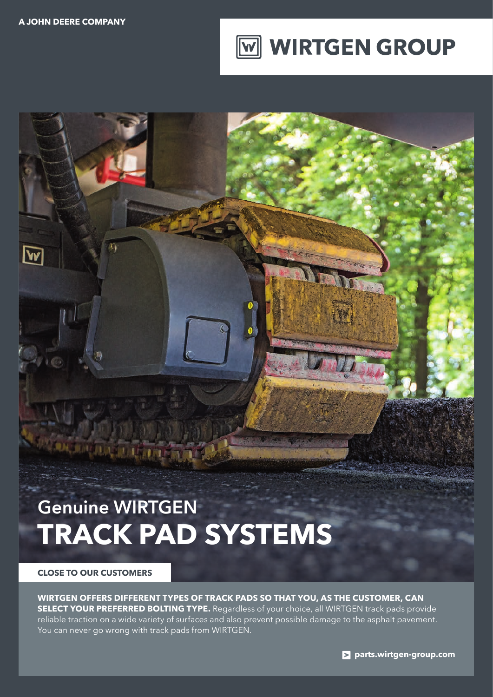$\overline{\bf w}$ 



## Genuine WIRTGEN **TRACK PAD SYSTEMS**

**MARINA DE LA BI** 

**CLOSE TO OUR CUSTOMERS**

**WIRTGEN OFFERS DIFFERENT TYPES OF TRACK PADS SO THAT YOU, AS THE CUSTOMER, CAN SELECT YOUR PREFERRED BOLTING TYPE.** Regardless of your choice, all WIRTGEN track pads provide reliable traction on a wide variety of surfaces and also prevent possible damage to the asphalt pavement. You can never go wrong with track pads from WIRTGEN.